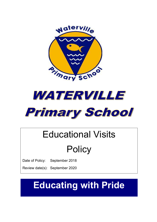



# Educational Visits **Policy**

Date of Policy: September 2018

Review date(s): September 2020

# Educating with Pride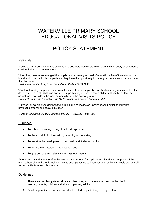# WATERVILLE PRIMARY SCHOOL EDUCATIONAL VISITS POLICY

# POLICY STATEMENT

# Rationale

A child's overall development is assisted in a desirable way by providing them with a variety of experience outside their normal environment.

"It has long been acknowledged that pupils can derive a good deal of educational benefit from taking part in visits with their schools. In particular they have the opportunity to undergo experiences not available in the classroom.

Health and Safety of Pupils on Educational Visits – DfES 1998

"Outdoor learning supports academic achievement, for example through fieldwork projects, as well as the development of 'soft' skills and social skills, particularly in hard to reach children. It can take place on school trips, on visits in the local community or in the school grounds. House of Commons Education and Skills Select Committee – February 2005

Outdoor Education gives depth to the curriculum and makes an important contribution to students physical, personal and social education

Outdoor Education- Aspects of good practice – OfSTED – Sept 2004

#### Purposes

- To enhance learning through first hand experiences
- To develop skills in observation, recording and reporting
- To assist in the development of responsible attitudes and skills
- To stimulate an interest in the outside world
- To give purpose and relevance to classroom learning

An educational visit can therefore be seen as any aspect of a pupil's education that takes place off the main school site and should include visits to such places as parks, museums, swimming pools etc. as well as residential trips and visits abroad.

#### **Guidelines**

- 1. There must be clearly stated aims and objectives, which are made known to the Head teacher, parents, children and all accompanying adults.
- 2. Good preparation is essential and should include a preliminary visit by the teacher.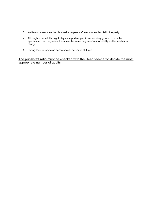- 3. Written -consent must be obtained from parents/carers for each child in the party.
- 4. Although other adults might play an important part in supervising groups, it must be appreciated that they cannot assume the same degree of responsibility as the teacher in charge.
- 5. During the visit common sense should prevail at all times.

# The pupil/staff ratio must be checked with the Head teacher to decide the most appropriate number of adults.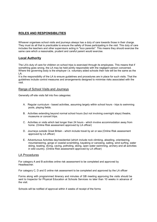# ROLES AND RESPONSIBILITIES

Whoever organises school visits and journeys always has a duty of care towards those in their charge. They must do all that is practicable to ensure the safety of those participating in the visit. This duty of care includes the teachers and other supervisors acting in "loco parentis". This means they should exercise the same care which a reasonable, prudent and careful parent would exercise.

# Local Authority

The LA's duty of care for children on school trips is exercised through its employees. This means that if something goes wrong, the LA may be held jointly responsible with the negligent person concerned. Where the governing body is the employer i.e. voluntary aided schools their role will be the same as the LA.

It is the responsibility of the LA to ensure guidelines and procedures are in place for such visits. That the guidelines include control measures and arrangements designed to minimise risks associated with the visit.

## Range of School Visits and Journeys

Generally off-site visits fall into five categories:

- A. Regular curriculum based activities, assuming largely within school hours trips to swimming pools, playing fields.
- B. Activities extending beyond normal school hours (but not involving overnight stays) theatre, museums or concert trips.
- C. Activities or visits which last longer than 24 hours which involve accommodation away from home. (Online Risk assessment approved by LA officer)
- D. Journeys outside Great Britain which include travel by air or sea (Online Risk assessment approved by LA officer)
- E. Adventurous Activities day/residential (which include rock climbing, abseiling, orienteering, mountaineering, gorge or coastal scrambling, kayaking or canoeing, sailing, wind surfing, water skiing, boating, diving, caving, potholing, skiing, open water swimming, archery and all activities in wild country. (Online Risk assessment approved by LA officer)

#### LA Procedures

For category A and B activities online risk assessment to be completed and approved by **Headteacher** 

For category C, D and E online risk assessment to be completed and approved by the LA officer

Forms along with programmed itinerary and minutes of GB meeting approving the visits should be sent to Inspector for Physical Education at Schools Services no later than 10 weeks in advance of the visit.

Schools will be notified of approval within 4 weeks of receipt of the forms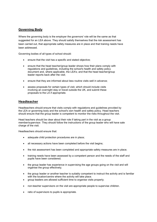# Governing Body

Where the governing body is the employer the governors' role will be the same as that suggested for an LEA above. They should satisfy themselves that the risk assessment has been carried out, that appropriate safety measures are in place and that training needs have been addressed.

Governing bodies of all types of school should:

- ensure that the visit has a specific and stated objective;
- ensure that the head teacher/group leader shows how their plans comply with regulations and guidelines, including the school's health and safety policy document and, where applicable, the LEA's; and that the head teacher/group leader reports back after the visit;
- ensure that they are informed about less routine visits well in advance;
- assess proposals for certain types of visit, which should include visits involving an overnight stay or travel outside the UK, and submit these proposals to the LA if appropriate.

# Headteacher

Headteachers should ensure that visits comply with regulations and guidelines provided by the LEA or governing body and the school's own health and safety policy. Head teachers should ensure that the group leader is competent to monitor the risks throughout the visit.

Head teachers should be clear about their role if taking part in the visit as a group member/supervisor. They should follow the instructions of the group leader who will have sale charge of the visit.

Headteachers should ensure that:

- adequate child protection procedures are in place;
- all necessary actions have been completed before the visit begins;
- the risk assessment has been completed and appropriate safety measures are in place;
- training needs have been assessed by a competent person and the needs of the staff and pupils have been considered;
- the group leader has experience in supervising the age groups going on the visit and will organise the group effectively;
- the group Ieader or another teacher is suitably competent to instruct the activity and is familiar with the location/centre where the activity will take place.
- group leaders are allowed sufficient time to organise visits properly;
- non-teacher supervisors on the visit are appropriate people to supervise children.
- ratio of supervisors to pupils is appropriate.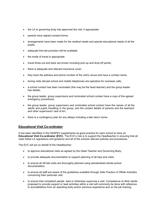- the LA or governing body has approved the visit, if appropriate;
- parents have signed consent forms;
- arrangements have been made for the medical needs and special educational needs of all the pupils;
- adequate first-aid provision will be available;
- the mode of travel is appropriate.
- travel times out and back are known including pick-up and drop-off points;
- there is adequate and relevant insurance cover.
- they have the address and phone number of the visit's venue and have a contact name;
- during visits abroad school and mobile telephones are operative for overseas calls;
- a school contact has been nominated (this may be the head teacher) and the group leader has details;
- the group leader, group supervisors and nominated school contact have a copy of the agreed emergency procedures;
- the group leader, group supervisors and nominated school contact have the names of all the adults and pupils travelling in the group, and the contact details of parents and the teachers' and other supervisors' next of kin;
- there is a contingency plan for any delays including a late return home.

# Educational Visit Co-ordinator

It has been identified in the HASPEV supplements as good practice for each school to have an Educational Visit Co-ordinator (EVC). The EVC's role is to support the Headteacher in ensuring that all visits follow LA regulations and guidance and all of the schools relevant policies and procedures.

The EVC will act on behalf of the Headteacher:

- to approve educational visits as agreed by the Head Teacher and Governing Body;
- to provide adequate documentation to support planning of all trips and visits;
- to ensure all off-site visits are thoroughly planned using standardised whole-school documentation;
- to ensure all staff are aware of the guidelines available through Safe Practice of Offsite Activities concerning their particular visit;
- to ensure that competent people lead or otherwise supervise a visit. Competence of other adults proposed to provide support or lead activities within a visit will commonly be done with reference to accreditations from an awarding body and/or previous experience and on the job training;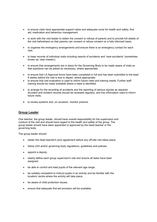- to ensure visits have appropriate support ratios and adequate cover for health and safety, first aid, medication and behaviour management;
- to work with the visit leader to obtain the consent or refusal of parents and to provide full details of the visit beforehand so that parents can consent or refuse consent on a fully informed basis;
- to organise the emergency arrangements and ensure there is an emergency contact for each visit;
- to keep records of individual visits including reports of accidents and 'near-accidents' (sometimes known as 'near misses');
- to ensure that arrangements are in place for the Governing Body to be made aware of visits so that questions can be asked as necessary, where appropriate;
- to ensure that LA Approval forms have been completed in full and has been submitted to the least 6 weeks before the visit is due to depart, where appropriate;
- to ensure that visit evaluation is used to inform future visits and training needs. Further staff training should be made available where a need is identified;
- to arrange for the recording of accidents and the reporting of serious injuries as required. Accident and incident records should be reviewed regularly, and this information used to inform future visits;
- to review systems and, on occasion, monitor practice.

### Group Leader

One teacher, the group leader, should have overall responsibility for the supervision and conduct of the visit and should have regard to the health and safety of the group. The group leader should have been appointed or approved by the head teacher or the governing body.

The group leader should:

- obtain the head teacher's prior agreement before any off-site visit takes place;
- follow LEA and/or governing body regulations, guidelines and policies;
- appoint a deputy;
- clearly define each group supervisor's role and ensure all tasks have been assigned;
- be able to control and lead pupils of the relevant age range;
- be suitably competent to instruct pupils in an activity and be familiar with the location/ centre where the activity will take place;
- be aware of child protection issues;
- ensure that adequate first-aid provision will be available;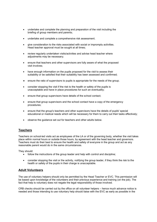- undertake and complete the planning and preparation of the visit including the briefing of group members and parents;
- undertake and complete a comprehensive risk assessment.
- give consideration to the risks associated with social or impromptu activities. Head teacher approval must be sought at all times;
- review regularly undertaken visits/activities and advise head teacher where adjustments may be necessary;
- ensure that teachers and other supervisors are fully aware of what the proposed visit involves;
- have enough information on the pupils proposed for the visit to assess their suitability or be satisfied that their suitability has been assessed and confirmed;
- ensure the ratio of supervisors to pupils is appropriate for the needs of the group.
- consider stopping the visit if the risk to the health or safety of the pupils is unacceptable and have in place procedures for such an eventuality;
- ensure that group supervisors have details of the school contact;
- ensure that group supervisors and the school contact have a copy of the emergency procedures;
- ensure that the group's teachers and other supervisors have the details of pupils' special educational or medical needs which will be necessary for them to carry out their tasks effectively;
- observe the guidance set out for teachers and other adults below.

# **Teachers**

Teachers on school-led visits act as employees of the LA or of the governing body, whether the visit takes place within normal hours or outside those hours, by agreement with the head teacher and governors. Teachers must do their best to ensure the health and safety of everyone in the group and act as any reasonable parent would do in the same circumstances.

They should:

- follow the instructions of the group leader and help with control and discipline;
- consider stopping the visit or the activity, notifying the group leader, if they think the risk to the health or safety of the pupils in their charge is unacceptable.

# Adult Volunteers

The use of voluntary helpers should only be permitted by the Head Teacher or EVC. This permission will be based upon knowledge of the volunteers and their previous experience and training (on the job). The fact that help is voluntary does not negate the legal responsibility of those involved.

CRB checks should be carried out by the office on all volunteer helpers – hence much advance notice is needed and those intending to use voluntary help should liaise with the EVC as early as possible in the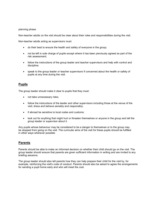planning phase.

Non-teacher adults on the visit should be clear about their roles and responsibilities during the visit.

Non-teacher adults acting as supervisors must:

- do their best to ensure the health and safety of everyone in the group;
- not be left in sole charge of pupils except where it has been previously agreed as part of the risk assessment;
- follow the instructions of the group leader and teacher supervisors and help with control and discipline;
- speak to the group leader or teacher supervisors if concerned about the health or safety of pupils at any time during the visit.

## Pupils

The group leader should make it clear to pupils that they must:

- not take unnecessary risks;
- follow the instructions of the leader and other supervisors including those at the venue of the visit; dress and behave sensibly and responsibly;
- if abroad be sensitive to local codes and customs;
- look out for anything that might hurt or threaten themselves or anyone in the group and tell the group leader or supervisor about it.

Any pupils whose behaviour may be considered to be a danger to themselves or to the group may be stopped from going on the visit. The curricular aims of the visit for these pupils should be fulfilled in other ways wherever possible.

#### **Parents**

Parents should be able to make an informed decision on whether their child should go on the visit. The group leader should ensure that parents are given sufficient information in writing and are invited to any briefing sessions.

The group leader should also tell parents how they can help prepare their child for the visit by, for example, reinforcing the visit's code of conduct. Parents should also be asked to agree the arrangements for sending a pupil home early and who will meet the cost.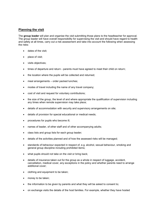# Planning the visit

The group leader will plan and organise the visit submitting those plans to the headteacher for approval. The group leader will have overall responsibility for supervising the visit and should have regard to health and safety at all times, carry out a risk assessment and take into account the following when assessing the risks:

- dates of the visit;
- place of visit;
- visits objectives;
- times of departure and return parents must have agreed to meet their child on return;
- the location where the pupils will be collected and returned;
- meal arrangements order packed lunches;
- modes of travel including the name of any travel company;
- cost of visit and request for voluntary contributions;
- the size of the group, the level of and where appropriate the qualification of supervision including any times when remote supervision may take place;
- details of accommodation with security and supervisory arrangements on site;
- details of provision for special educational or medical needs;
- procedures for pupils who become ill;
- names of leader, of other staff and of other accompanying adults;
- class lists and group lists for each group leader;
- details of the activities planned and of how the assessed risks will be managed;
- standards of behaviour expected in respect of, e.g. alcohol, sexual behaviour, smoking and general group discipline including prohibited items;
- what pupils should not take on the visit or bring back;
- details of insurance taken out for the group as a whole in respect of luggage, accident, cancellation, medical cover, any exceptions in the policy and whether parents need to arrange additional cover;
- clothing and equipment to be taken;
- money to be taken;
- the information to be given by parents and what they will be asked to consent to;
- on exchange visits the details of the host families. For example, whether they have hosted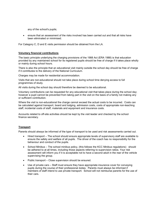any of the school's pupils;

 ensure that an assessment of the risks involved has been carried out and that all risks have been eliminated or minimised.

For Category C, D and E visits permission should be obtained from the LA.

#### Voluntary financial contributions

The basic principle underlying the charging provisions of the 1988 Act (ERA 1988) is that education provided by any maintained school for its registered pupils should be free of charge if it takes place wholly or mainly during school hours.

There is also the principle that an educational visit mainly outside the school day should be free of charge if it contributes to the delivery of the National Curriculum.

Charges may be made for residential accommodation.

Visits that are non-educational should not take place during school time denying access to full programmes of study.

All visits during the school day should therefore be deemed to be educational.

Voluntary contributions can be requested for any educational visit that takes place during the school day; however a pupil cannot be prevented from taking part in the visit on the basis of a family not making any or sufficient contribution.

Where the visit is non-educational the charge cannot exceed the actual costs to be incurred. Costs can be calculated against transport, board and lodging, admission costs, costs of appropriate non-teaching staff, incidental costs of staff, materials and equipment and insurance costs.

Accounts related to off-site activities should be kept by the visit leader and checked by the school finance secretary.

#### **Transport**

Parents should always be informed of the type of transport to be used and risk assessments carried out.

- Hired transport The school should ensure appropriate levels of supervisory staff are available to ensure the safety and welfare of all pupils. The driver of the coach has no responsibility for the behaviour and conduct of the pupils.
- School Minibus The school minibus policy, (this follows the KCC Minibus regulations) should be adhered to at all times, including those aspects referring to supervision ratios. Your risk assessment will inform you if it is acceptable not to have a second adult in the rear of the vehicle supervising the group.
- Public transport Close supervision should be ensured.
- Use of private cars Staff must ensure they have appropriate insurance cover for conveying pupils during the course of their professional duties. Parents must always be informed if members of staff intend to use private transport. School will not reimburse parents for the use of their cars.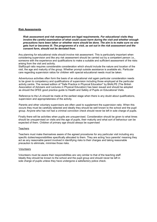#### Risk Assessments

Risk assessment and risk management are legal requirements. For educational visits they involve the careful examination of what could cause harm during the visit and whether enough precautions have been taken or whether more should be done. The aim is to make sure no one gets hurt or becomes ill. The programme of a visit, as set out in the risk assessment and the consent form, should not be deviated from.

Any planning for educational visits should involve risk assessment. This is particularly important when considering supervision and like any risk assessment should be carried out by a competent person i.e., someone with the experience and qualifications to make a suitable and sufficient assessment of the risks arising from the visit and activity.

Staff/pupil ratio requires considerable consideration which should include the nature and location of the visit, the age and maturity of the group. Whether prompt outside assistance is available etc. Particular care regarding supervision ratios for children with special educational needs must be taken.

Adventurous activities often form the basis of an educational visit again particular consideration needs to be given to competency and qualifications of supervision including those employed at the particular activity centre. The revised edition of "Safe Practice in Physical Education" by BAALPE (The British Association of Advisers and Lectures in Physical Education) has been issued and should be adopted as should the DFEE good practice guide to Health and Safety of Pupils on Educational Visits.

Reference to the LA should be made at the earliest stage when there is any doubt about qualifications, supervision and appropriateness of the activity.

Parents and other voluntary supervisors are often used to supplement the supervision ratio. When this occurs they must be carefully selected and ideally they should be well known to the school and the pupil group. Anyone who has not had a criminal conviction check should never be left in sole charge of pupils.

Finally there will be activities when pupils are unsupervised. Consideration should be given to what times should be unsupervised on visits and the age of pupils, their maturity and what sort of behaviour can be expected of them. Children of primary age should always be supervised

#### **Teachers**

Teachers must make themselves aware of the agreed procedures for any particular visit including any specific duties/responsibilities specifically allocated to them. They are acting 'loco parentis' meaning they act as any reasonable parent involved in identifying risks to their charges and taking reasonable precaution to eliminate, minimise those risks.

#### Volunteers

Volunteers must be aware their responsibilities are very similar to that of the teaching staff. Ideally they should be known to the school and the pupil group and should never be left in sole charge of pupils unless they have undergone a satisfactory police check.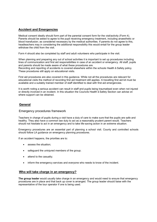# Accident and Emergencies

Medical consent ideally should form part of the parental consent form for the visit/activity (Form 4). Parents should be asked to agree to the pupil receiving emergency treatment, including anaesthetic or blood transfusion; as considered necessary by the medical authorities. If parents do not agree to this, headteachers may in considering the additional responsibility this would entail for the group leader withdraw the child from the visit.

Form 4 should also be completed by staff and adult volunteers who participate in the visit.

When planning and preparing any out of school activities it is important to set up procedures including lines of communication and first aid responsibilities in case of an accident or emergency. All staff, pupils and parents should be made aware of what these procedures are.

Recording and reporting of accidents is covered elsewhere within the schools Health & Safety policy. These procedures still apply on educational visits.

First aid procedures are also covered in this guidance. While not all the procedures are relevant for educational visits the method of recording first aid treatment still applies. A travelling first aid kit must be available and a suitably trained member of staff identified to deal with first aid emergencies.

It is worth noting a serious accident can result in staff and pupils being traumatised even when not injured or directly involved in an incident. In this situation the Councils Health & Safety Section can advise on where support can be obtained.

# General

## Emergency procedures framework

Teachers in charge of pupils during a visit have a duty of care to make sure that the pupils are safe and healthy. They also have a common law duty to act as a reasonably prudent parent would. Teachers should not hesitate to act in an emergency and to take life-saving action in an extreme situation.

Emergency procedures are an essential part of planning a school visit. County and controlled schools should follow LA guidance on emergency planning procedures.

If an accident happens, the priorities are to:

- assess the situation:
- safeguard the uninjured members of the group;
- attend to the casualty;
- inform the emergency services and everyone who needs to know of the incident.

# Who will take charge in an emergency?

The group leader would usually take charge in an emergency and would need to ensure that emergency procedures are in place and that back up cover is arranged. The group leader should liaise with the representative of the tour operator if one is being used.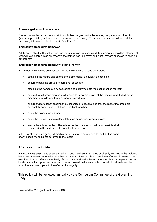#### Pre-arranged school home contact

The school contact's main responsibility is to link the group with the school, the parents and the LA (where appropriate), and to provide assistance as necessary. The named person should have all the necessary information about the visit. See Form 5.

#### Emergency procedures framework

All those involved in the school trip, including supervisors, pupils and their parents, should be informed of who will take charge in an emergency, the named back up cover and what they are expected to do in an emergency.

#### , where  $\mathbf{r}$  is the contract of  $\mathbf{r}$ Emergency procedures framework during the visit

If an emergency occurs on a school visit the main factors to consider include:

- establish the nature and extent of the emergency as quickly as possible;
- ensure that all the group are safe and looked after;
- establish the names of any casualties and get immediate medical attention for them;
- ensure that all group members who need to know are aware of the incident and that all group members are following the emergency procedures;
- ensure that a teacher accompanies casualties to hospital and that the rest of the group are adequately supervised at all times and kept together;
- notify the police if necessary;
- notify the British Embassy/Consulate if an emergency occurs abroad;
- inform the school contact. The school contact number should be accessible at all times during the visit; school contact will inform LA.

In the event of an emergency all media enquiries should be referred to the LA. The name of any casualty should not be given to the media.

# After a serious incident

It is not always possible to assess whether group members not injured or directly involved in the incident have been traumatised or whether other pupils or staff in the school have been affected. In some cases reactions do not surface immediately. Schools in this situation have sometimes found it helpful to contact local community support services and to seek professional advice on how to help individuals and the school as a whole cope with the effects of a tragedy.

This policy will be reviewed annually by the Curriculum Committee of the Governing Body.

Reviewed by M Nugent September 2018